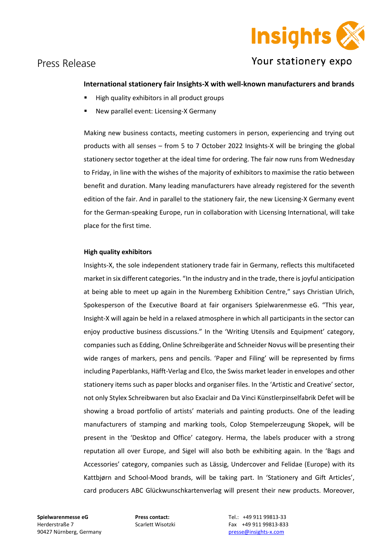

### Press Release

# Your stationery expo

#### **International stationery fair Insights-X with well-known manufacturers and brands**

- High quality exhibitors in all product groups
- New parallel event: Licensing-X Germany

Making new business contacts, meeting customers in person, experiencing and trying out products with all senses – from 5 to 7 October 2022 Insights-X will be bringing the global stationery sector together at the ideal time for ordering. The fair now runs from Wednesday to Friday, in line with the wishes of the majority of exhibitors to maximise the ratio between benefit and duration. Many leading manufacturers have already registered for the seventh edition of the fair. And in parallel to the stationery fair, the new Licensing-X Germany event for the German-speaking Europe, run in collaboration with Licensing International, will take place for the first time.

#### **High quality exhibitors**

Insights-X, the sole independent stationery trade fair in Germany, reflects this multifaceted market in six different categories. "In the industry and in the trade, there is joyful anticipation at being able to meet up again in the Nuremberg Exhibition Centre," says Christian Ulrich, Spokesperson of the Executive Board at fair organisers Spielwarenmesse eG. "This year, Insight-X will again be held in a relaxed atmosphere in which all participants in the sector can enjoy productive business discussions." In the 'Writing Utensils and Equipment' category, companies such as Edding, Online Schreibgeräte and Schneider Novus will be presenting their wide ranges of markers, pens and pencils. 'Paper and Filing' will be represented by firms including Paperblanks, Häfft-Verlag and Elco, the Swiss market leader in envelopes and other stationery items such as paper blocks and organiser files. In the 'Artistic and Creative' sector, not only Stylex Schreibwaren but also Exaclair and Da Vinci Künstlerpinselfabrik Defet will be showing a broad portfolio of artists' materials and painting products. One of the leading manufacturers of stamping and marking tools, Colop Stempelerzeugung Skopek, will be present in the 'Desktop and Office' category. Herma, the labels producer with a strong reputation all over Europe, and Sigel will also both be exhibiting again. In the 'Bags and Accessories' category, companies such as Lässig, Undercover and Felidae (Europe) with its Kattbjørn and School-Mood brands, will be taking part. In 'Stationery and Gift Articles', card producers ABC Glückwunschkartenverlag will present their new products. Moreover,

**Spielwarenmesse eG Press contact:** Tel.: +49 911 99813-33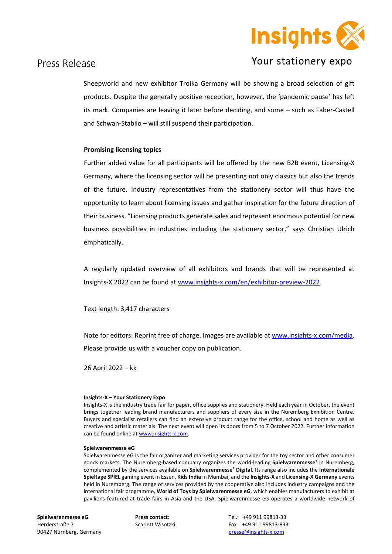

## Your stationery expo

### Press Release

Sheepworld and new exhibitor Troika Germany will be showing a broad selection of gift products. Despite the generally positive reception, however, the 'pandemic pause' has left its mark. Companies are leaving it later before deciding, and some – such as Faber-Castell and Schwan-Stabilo – will still suspend their participation.

#### **Promising licensing topics**

Further added value for all participants will be offered by the new B2B event, Licensing-X Germany, where the licensing sector will be presenting not only classics but also the trends of the future. Industry representatives from the stationery sector will thus have the opportunity to learn about licensing issues and gather inspiration for the future direction of their business. "Licensing products generate sales and represent enormous potential for new business possibilities in industries including the stationery sector," says Christian Ulrich emphatically.

A regularly updated overview of all exhibitors and brands that will be represented at Insights-X 2022 can be found at [www.insights-x.com/en/exhibitor-preview-2022.](http://www.insights-x.com/en/exhibitor-preview-2022)

Text length: 3,417 characters

Note for editors: Reprint free of charge. Images are available at [www.insights-x.com/media.](https://spielwarenmesse.imageplant.de/qshare/media/quickshare/0A15-DF6E-E7D6) Please provide us with a voucher copy on publication.

26 April 2022 – kk

#### **Insights-X – Your Stationery Expo**

Insights-X is the industry trade fair for paper, office supplies and stationery. Held each year in October, the event brings together leading brand manufacturers and suppliers of every size in the Nuremberg Exhibition Centre. Buyers and specialist retailers can find an extensive product range for the office, school and home as well as creative and artistic materials. The next event will open its doors from 5 to 7 October 2022. Further information can be found online a[t www.insights-x.com.](http://www.insights-x.com/)

#### **Spielwarenmesse eG**

Spielwarenmesse eG is the fair organizer and marketing services provider for the toy sector and other consumer goods markets. The Nuremberg-based company organizes the world-leading **Spielwarenmesse®** in Nuremberg, complemented by the services available on **Spielwarenmesse® Digital**. Its range also includes the **Internationale Spieltage SPIEL** gaming event in Essen, **Kids India** in Mumbai, and the **Insights-X** and **Licensing-X Germany** events held in Nuremberg. The range of services provided by the cooperative also includes industry campaigns and the international fair programme, **World of Toys by Spielwarenmesse eG**, which enables manufacturers to exhibit at pavilions featured at trade fairs in Asia and the USA. Spielwarenmesse eG operates a worldwide network of